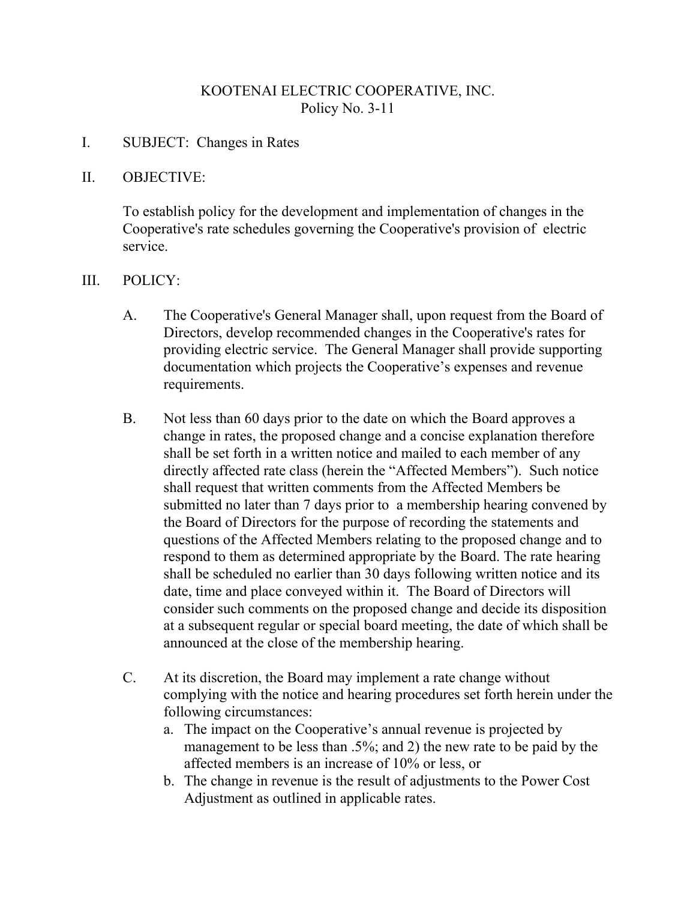# KOOTENAI ELECTRIC COOPERATIVE, INC. Policy No. 3-11

### I. SUBJECT: Changes in Rates

#### II. OBJECTIVE:

To establish policy for the development and implementation of changes in the Cooperative's rate schedules governing the Cooperative's provision of electric service.

#### III. POLICY:

- A. The Cooperative's General Manager shall, upon request from the Board of Directors, develop recommended changes in the Cooperative's rates for providing electric service. The General Manager shall provide supporting documentation which projects the Cooperative's expenses and revenue requirements.
- B. Not less than 60 days prior to the date on which the Board approves a change in rates, the proposed change and a concise explanation therefore shall be set forth in a written notice and mailed to each member of any directly affected rate class (herein the "Affected Members"). Such notice shall request that written comments from the Affected Members be submitted no later than 7 days prior to a membership hearing convened by the Board of Directors for the purpose of recording the statements and questions of the Affected Members relating to the proposed change and to respond to them as determined appropriate by the Board. The rate hearing shall be scheduled no earlier than 30 days following written notice and its date, time and place conveyed within it. The Board of Directors will consider such comments on the proposed change and decide its disposition at a subsequent regular or special board meeting, the date of which shall be announced at the close of the membership hearing.
- C. At its discretion, the Board may implement a rate change without complying with the notice and hearing procedures set forth herein under the following circumstances:
	- a. The impact on the Cooperative's annual revenue is projected by management to be less than .5%; and 2) the new rate to be paid by the affected members is an increase of 10% or less, or
	- b. The change in revenue is the result of adjustments to the Power Cost Adjustment as outlined in applicable rates.